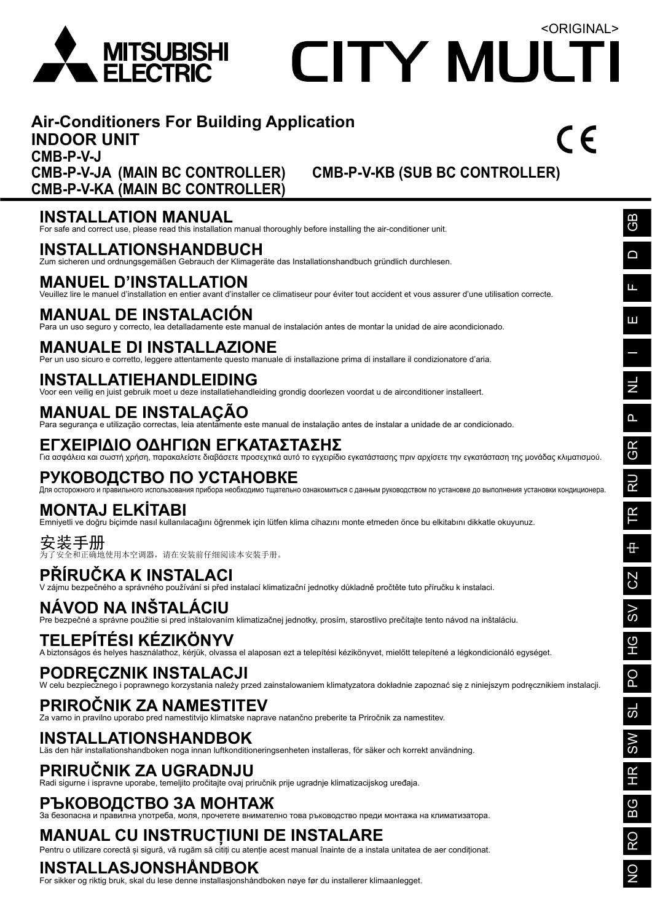

# <ORIGINAL> **ITY MULT**  $\Box$

 $\epsilon$ 

## **Air-Conditioners For Building Application INDOOR UNIT**

**CMB-P-V-J CMB-P-V-JA (MAIN BC CONTROLLER) CMB-P-V-KB (SUB BC CONTROLLER) CMB-P-V-KA (MAIN BC CONTROLLER)**

## **INSTALLATION MANUAL**

For safe and correct use, please read this installation manual thoroughly before installing the air-conditioner unit.

### **INSTALLATIONSHANDBUCH**

Zum sicheren und ordnungsgemäßen Gebrauch der Klimageräte das Installationshandbuch gründlich durchlesen.

## **MANUEL D'INSTALLATION**

Veuillez lire le manuel d'installation en entier avant d'installer ce climatiseur pour éviter tout accident et vous assurer d'une utilisation correcte.

## **MANUAL DE INSTALACIÓN**

Para un uso seguro y correcto, lea detalladamente este manual de instalación antes de montar la unidad de aire acondicionado.

## **MANUALE DI INSTALLAZIONE**

Per un uso sicuro e corretto, leggere attentamente questo manuale di installazione prima di installare il condizionatore d'aria.

## **INSTALLATIEHANDLEIDING**

Voor een veilig en juist gebruik moet u deze installatiehandleiding grondig doorlezen voordat u de airconditioner installeert.

## **MANUAL DE INSTALAÇÃO**

Para segurança e utilização correctas, leia atentamente este manual de instalação antes de instalar a unidade de ar condicionado.

## $\boldsymbol{\mathsf{E}}$ ΓΧΕΙΡΙΔΙΟ ΟΔΗΓΙΩΝ ΕΓΚΑΤΑΣΤΑΣΗΣ

Για ασφάλεια και σωστή χρήση, παρακαλείστε διαβάσετε προσεχτικά αυτό το εγχειρίδιο εγκατάστασης πριν αρχίσετε την εγκατάσταση της μονάδας κλιματισμού.

## **РУКОВОДСТВО ПО УСТАНОВКЕ**

Иля осторожного и правильного использования прибора необходимо тщательно ознакомиться с данным руководством по установке до выполнения установки кондиционера

## **MONTAJ ELKÍTABI**

Emniyetli ve doğru biçimde nasıl kullanılacağını öğrenmek için lütfen klima cihazını monte etmeden önce bu elkitabını dikkatle okuyunuz.

安装手册<br>为了安全和正确地使用本空调器,请在安装前仔细阅读本安装手册。

## **PŘÍRUČKA K INSTALACI**

V zájmu bezpečného a správného používání si před instalací klimatizační jednotky důkladně pročtěte tuto příručku k instalaci.

## **NÁVOD NA INŠTALÁCIU**

Pre bezpečné a správne použitie si pred inštalovaním klimatizačnej jednotky, prosím, starostlivo prečítajte tento návod na inštaláciu.

## **TELEPÍTÉSI KÉZIKÖNYV**

A biztonságos és helyes használathoz, kérjük, olvassa el alaposan ezt a telepítési kézikönyvet, mielőtt telepítené a légkondicionáló egységet.

## **PODRECZNIK INSTALACJI**

W celu bezpiecznego i poprawnego korzystania należy przed zainstalowaniem klimatyzatora dokładnie zapoznać się z niniejszym podręcznikiem instalacji.

## **PRIROČNIK ZA NAMESTITEV**

Za varno in pravilno uporabo pred namestitvijo klimatske naprave natančno preberite ta Priročnik za namestitev.

## **INSTALLATIONSHANDBOK**

Läs den här installationshandboken noga innan luftkonditioneringsenheten installeras, för säker och korrekt användning.

## **PRIRUCNIK ZA UGRADNJU**

Radi sigurne i ispravne uporabe, temeljito pročitajte ovaj priručnik prije ugradnje klimatizacijskog uređaja.

## РЪКОВОДСТВО ЗА МОНТАЖ

За безопасна и правилна употреба, моля, прочетете внимателно това ръководство преди монтажа на климатизатора.

## **MANUAL CU INSTRUCTIUNI DE INSTALARE**

Pentru o utilizare corectă și sigură, vă rugăm să citiți cu atenție acest manual înainte de a instala unitatea de aer condiționat.

## **INSTALLASJONSHÅNDBOK**

For sikker og riktig bruk, skal du lese denne installasjonshåndboken nøye før du installerer klimaanlegget.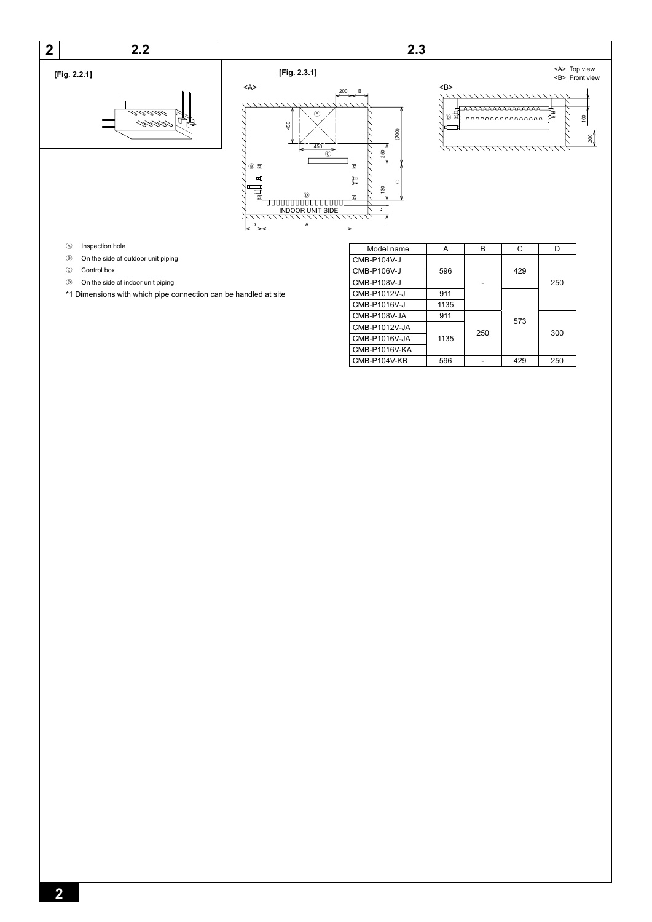





- Ⓐ Inspection hole
- Ⓑ On the side of outdoor unit piping
- Ⓒ Control box
- Ⓓ On the side of indoor unit piping
- \*1 Dimensions with which pipe connection can be handled at site

| Model name    | A    | В   | C   |     |
|---------------|------|-----|-----|-----|
| CMB-P104V-J   |      |     |     |     |
| CMB-P106V-J   | 596  |     | 429 |     |
| CMB-P108V-J   |      |     |     | 250 |
| CMB-P1012V-J  | 911  |     |     |     |
| CMB-P1016V-J  | 1135 |     |     |     |
| CMB-P108V-JA  | 911  |     | 573 |     |
| CMB-P1012V-JA |      | 250 |     | 300 |
| CMB-P1016V-JA | 1135 |     |     |     |
| CMB-P1016V-KA |      |     |     |     |
| CMB-P104V-KB  | 596  |     | 429 | 250 |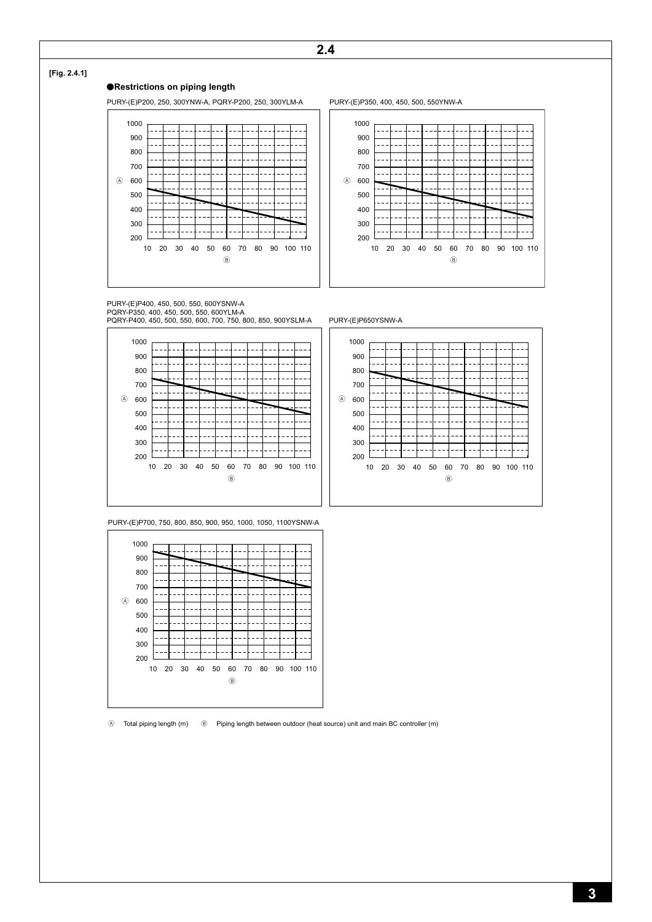#### **[Fig. 2.4.1]**

#### ●**Restrictions on piping length**

PURY-(E)P200, 250, 300YNW-A, PQRY-P200, 250, 300YLM-A PURY-(E)P350, 400, 450, 500, 550YNW-A





## PURY-(E)P400, 450, 500, 550, 600YSNW-A



PQRY-P350, 400, 450, 500, 550, 600YLM-A PQRY-P400, 450, 500, 550, 600, 700, 750, 800, 850, 900YSLM-A



PURY-(E)P700, 750, 800, 850, 900, 950, 1000, 1050, 1100YSNW-A



Ⓐ Total piping length (m) Ⓑ Piping length between outdoor (heat source) unit and main BC controller (m)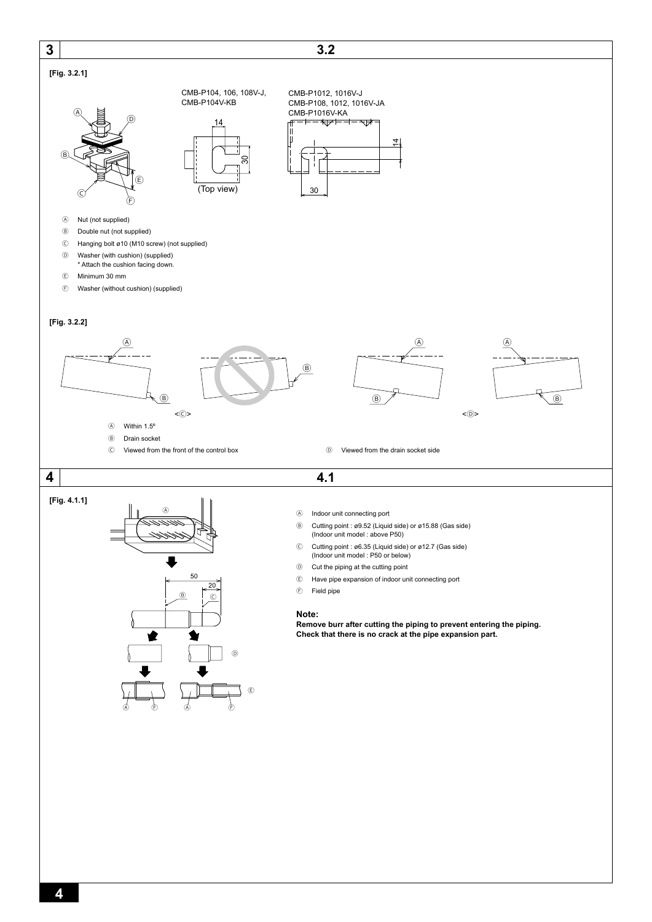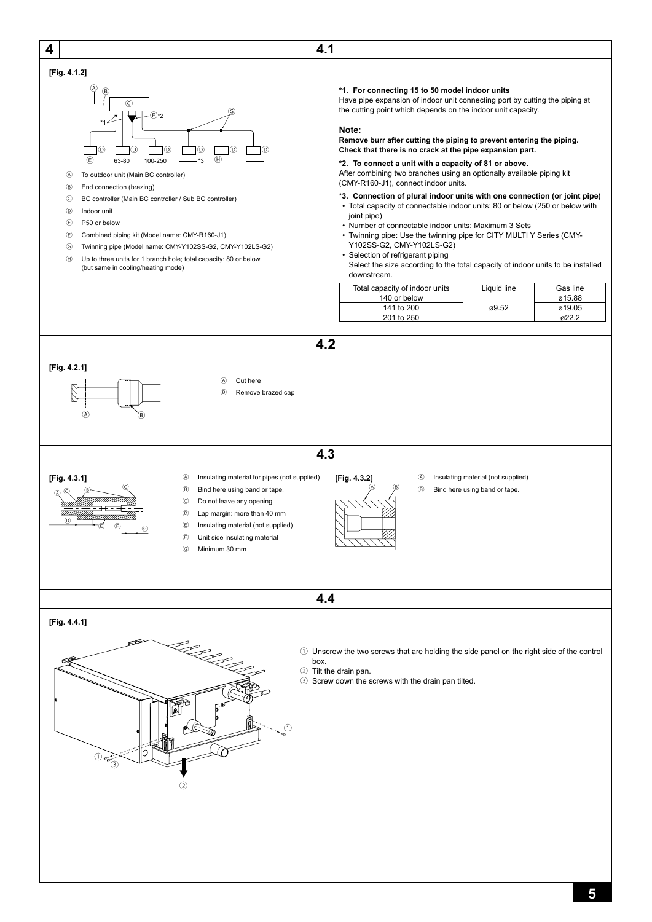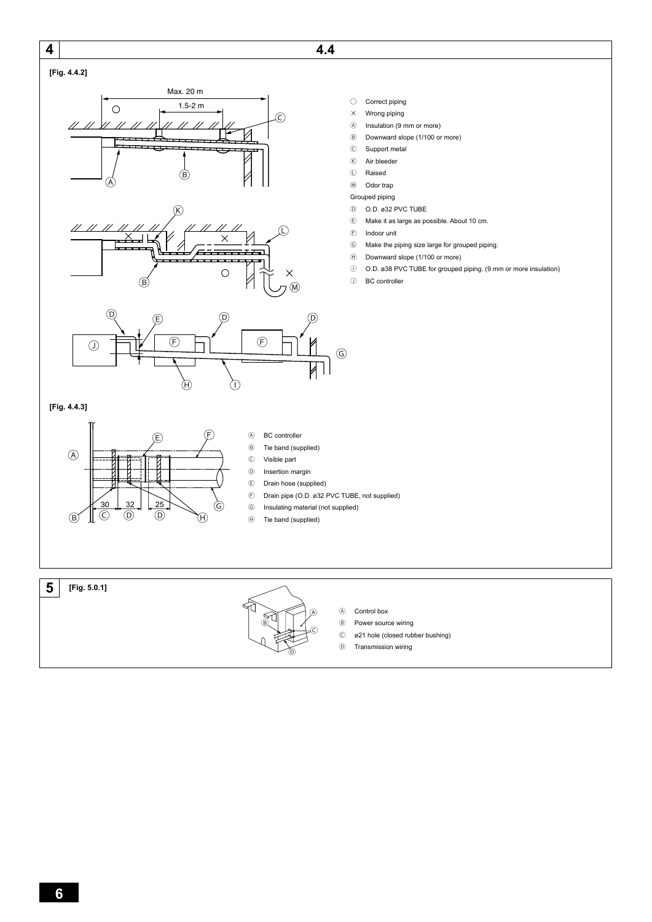

Ⓑ Power source wiring

Ⓑ

Ⓒ

 $^{\circ}$ 

- 
- Ⓒ ø21 hole (closed rubber bushing)
- Ⓓ Transmission wiring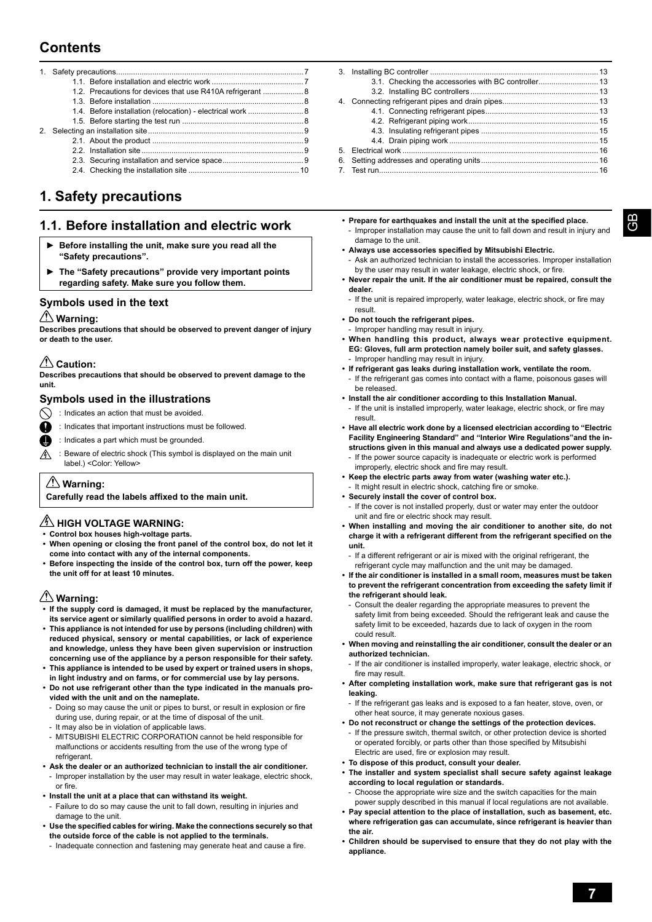## **Contents**

|  | 1.2. Precautions for devices that use R410A refrigerant 8 |  |
|--|-----------------------------------------------------------|--|
|  |                                                           |  |
|  |                                                           |  |
|  |                                                           |  |
|  |                                                           |  |
|  |                                                           |  |
|  |                                                           |  |
|  |                                                           |  |
|  |                                                           |  |

## **1. Safety precautions**

### **1.1. Before installation and electric work**

- Before installing the unit, make sure you read all the **"Safety precautions".**
- ▶ The "Safety precautions" provide very important points **regarding safety. Make sure you follow them.**

#### **Symbols used in the text**

#### **Warning:**

**Describes precautions that should be observed to prevent danger of injury or death to the user.**

### **Caution:**

**Describes precautions that should be observed to prevent damage to the unit.**

#### **Symbols used in the illustrations**

 $\bigcirc$  : Indicates an action that must be avoided.

- : Indicates that important instructions must be followed.
- : Indicates a part which must be grounded.
- : Beware of electric shock (This symbol is displayed on the main unit  $\mathbb{A}$ label.) <Color: Yellow>

### **Warning:**

Carefully read the labels affixed to the main unit.

### **A HIGH VOLTAGE WARNING:**

**Control box houses high-voltage parts.**

- **When opening or closing the front panel of the control box, do not let it come into contact with any of the internal components.**
- **Before inspecting the inside of the control box, turn off the power, keep the unit off for at least 10 minutes.**

### **Warning:**

- **If the supply cord is damaged, it must be replaced by the manufacturer, Let service agent or similarly qualified persons in order to avoid a hazard.**
- **This appliance is not intended for use by persons (including children) with reduced physical, sensory or mental capabilities, or lack of experience and knowledge, unless they have been given supervision or instruction concerning use of the appliance by a person responsible for their safety.**
- **This appliance is intended to be used by expert or trained users in shops, in light industry and on farms, or for commercial use by lay persons.**
- **Do not use refrigerant other than the type indicated in the manuals provided with the unit and on the nameplate.**
- Doing so may cause the unit or pipes to burst or result in explosion or fire during use, during repair, or at the time of disposal of the unit.
- It may also be in violation of applicable laws.
- MITSUBISHI ELECTRIC CORPORATION cannot be held responsible for malfunctions or accidents resulting from the use of the wrong type of refrigerant.
- **Ask the dealer or an authorized technician to install the air conditioner.** Improper installation by the user may result in water leakage, electric shock, or fire.
- **Install the unit at a place that can withstand its weight.**
- Failure to do so may cause the unit to fall down, resulting in injuries and damage to the unit.
- Use the specified cables for wiring. Make the connections securely so that **the outside force of the cable is not applied to the terminals.**
	- Inadequate connection and fastening may generate heat and cause a fire.

- Prepare for earthquakes and install the unit at the specified place. Improper installation may cause the unit to fall down and result in injury and damage to the unit.
- **Always use accessories specified by Mitsubishi Electric.**
- Ask an authorized technician to install the accessories. Improper installation by the user may result in water leakage, electric shock, or fire.
- **Never repair the unit. If the air conditioner must be repaired, consult the dealer.**
- If the unit is repaired improperly, water leakage, electric shock, or fire may result.
- **Do not touch the refrigerant pipes.**
- Improper handling may result in injury.
- **When handling this product, always wear protective equipment. EG: Gloves, full arm protection namely boiler suit, and safety glasses.** Improper handling may result in injury.
- **If refrigerant gas leaks during installation work, ventilate the room.**
- If the refrigerant gas comes into contact with a flame, poisonous gases will be released.
- **Install the air conditioner according to this Installation Manual.**
- If the unit is installed improperly, water leakage, electric shock, or fire may result.
- **Have all electric work done by a licensed electrician according to "Electric Facility Engineering Standard" and "Interior Wire Regulations"and the instructions given in this manual and always use a dedicated power supply.**
- If the power source capacity is inadequate or electric work is performed improperly, electric shock and fire may result.
- **Keep the electric parts away from water (washing water etc.).**
- It might result in electric shock, catching fire or smoke.
- **Securely install the cover of control box.**
- If the cover is not installed properly, dust or water may enter the outdoor unit and fire or electric shock may result.
- **When installing and moving the air conditioner to another site, do not**  charge it with a refrigerant different from the refrigerant specified on the **unit.**
	- If a different refrigerant or air is mixed with the original refrigerant, the refrigerant cycle may malfunction and the unit may be damaged.
- **If the air conditioner is installed in a small room, measures must be taken to prevent the refrigerant concentration from exceeding the safety limit if the refrigerant should leak.**
	- Consult the dealer regarding the appropriate measures to prevent the safety limit from being exceeded. Should the refrigerant leak and cause the safety limit to be exceeded, hazards due to lack of oxygen in the room could result.
- **When moving and reinstalling the air conditioner, consult the dealer or an**  authorized technician.
	- If the air conditioner is installed improperly, water leakage, electric shock, or fire may result.
- **After completing installation work, make sure that refrigerant gas is not leaking.**
- If the refrigerant gas leaks and is exposed to a fan heater, stove, oven, or other heat source, it may generate noxious gases.
- **Do not reconstruct or change the settings of the protection devices.** If the pressure switch, thermal switch, or other protection device is shorted or operated forcibly, or parts other than those specified by Mitsubishi Electric are used, fire or explosion may result.
- **To dispose of this product, consult your dealer.**
- **The installer and system specialist shall secure safety against leakage according to local regulation or standards.**
	- Choose the appropriate wire size and the switch capacities for the main power supply described in this manual if local regulations are not available.
- **Pay special attention to the place of installation, such as basement, etc. where refrigeration gas can accumulate, since refrigerant is heavier than the air.**
- **Children should be supervised to ensure that they do not play with the appliance.**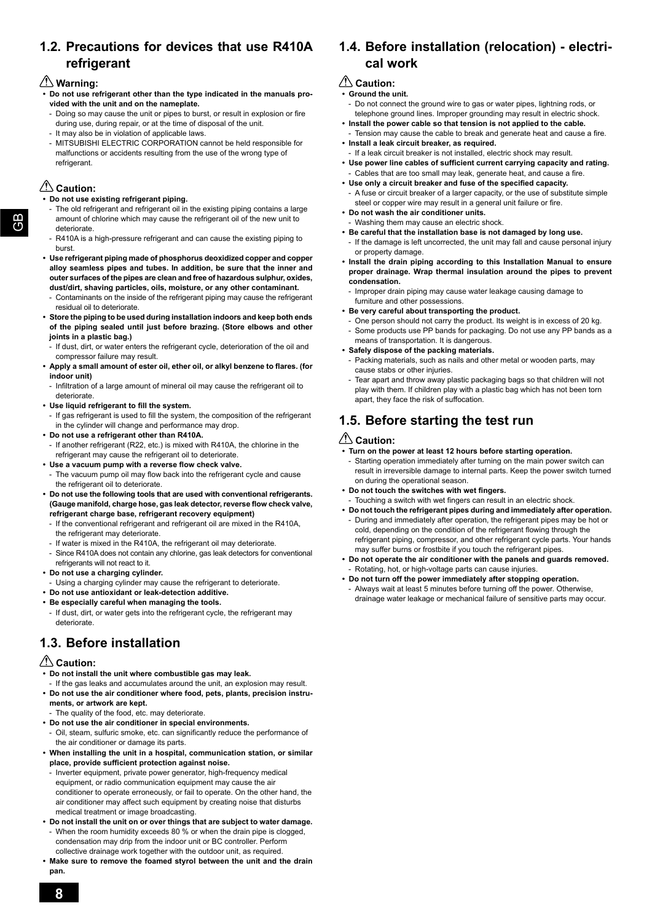### **1.2. Precautions for devices that use R410A refrigerant**

### **Warning:**

- **Do not use refrigerant other than the type indicated in the manuals provided with the unit and on the nameplate.**
	- Doing so may cause the unit or pipes to burst, or result in explosion or fire during use, during repair, or at the time of disposal of the unit.
- It may also be in violation of applicable laws.
- MITSUBISHI ELECTRIC CORPORATION cannot be held responsible for malfunctions or accidents resulting from the use of the wrong type of refrigerant.

## **Caution:**

#### **Do not use existing refrigerant piping.**

- The old refrigerant and refrigerant oil in the existing piping contains a large amount of chlorine which may cause the refrigerant oil of the new unit to deteriorate.
- R410A is a high-pressure refrigerant and can cause the existing piping to burst.
- **Use refrigerant piping made of phosphorus deoxidized copper and copper alloy seamless pipes and tubes. In addition, be sure that the inner and Rying the Surfaces of the pipes are clean and free of hazardous sulphur, oxides, dust/dirt, shaving particles, oils, moisture, or any other contaminant.**
- Contaminants on the inside of the refrigerant piping may cause the refrigerant residual oil to deteriorate.
- **Store the piping to be used during installation indoors and keep both ends**  of the piping sealed until just before brazing. (Store elbows and other **joints in a plastic bag.)**
- If dust, dirt, or water enters the refrigerant cycle, deterioration of the oil and compressor failure may result.
- **· Apply a small amount of ester oil, ether oil, or alkyl benzene to flares. (for indoor unit)**
- Infiltration of a large amount of mineral oil may cause the refrigerant oil to deteriorate.
- Use liquid refrigerant to fill the system.
- If gas refrigerant is used to fill the system, the composition of the refrigerant in the cylinder will change and performance may drop.
- **Do not use a refrigerant other than R410A.**
- If another refrigerant (R22, etc.) is mixed with R410A, the chlorine in the refrigerant may cause the refrigerant oil to deteriorate.
- Use a vacuum pump with a reverse flow check valve.
- The vacuum pump oil may flow back into the refrigerant cycle and cause the refrigerant oil to deteriorate.
- **Do not use the following tools that are used with conventional refrigerants.**  (Gauge manifold, charge hose, gas leak detector, reverse flow check valve, **refrigerant charge base, refrigerant recovery equipment)**
- If the conventional refrigerant and refrigerant oil are mixed in the R410A. the refrigerant may deteriorate.
- If water is mixed in the R410A, the refrigerant oil may deteriorate.
- Since R410A does not contain any chlorine, gas leak detectors for conventional refrigerants will not react to it.
- **Do not use a charging cylinder.**
- Using a charging cylinder may cause the refrigerant to deteriorate.
- **Do not use antioxidant or leak-detection additive.**
- **Be especially careful when managing the tools.**
- If dust, dirt, or water gets into the refrigerant cycle, the refrigerant may deteriorate.

## **1.3. Before installation**

### **Caution:**

- **Do not install the unit where combustible gas may leak.**
- If the gas leaks and accumulates around the unit, an explosion may result. **Do not use the air conditioner where food, pets, plants, precision instruments, or artwork are kept.**
- The quality of the food, etc. may deteriorate.
- **Do not use the air conditioner in special environments.**
- Oil, steam, sulfuric smoke, etc. can significantly reduce the performance of the air conditioner or damage its parts.
- **When installing the unit in a hospital, communication station, or similar**  place, provide sufficient protection against noise.
- Inverter equipment, private power generator, high-frequency medical equipment, or radio communication equipment may cause the air conditioner to operate erroneously, or fail to operate. On the other hand, the air conditioner may affect such equipment by creating noise that disturbs medical treatment or image broadcasting.
- **Do not install the unit on or over things that are subject to water damage.** When the room humidity exceeds 80 % or when the drain pipe is clogged,
- condensation may drip from the indoor unit or BC controller. Perform collective drainage work together with the outdoor unit, as required.
- **Make sure to remove the foamed styrol between the unit and the drain pan.**

## **1.4. Before installation (relocation) - electrical work**

### **Caution:**

- **Ground the unit.**
	- Do not connect the ground wire to gas or water pipes, lightning rods, or telephone ground lines. Improper grounding may result in electric shock.
- **Install the power cable so that tension is not applied to the cable.** Tension may cause the cable to break and generate heat and cause a fire.
- **Install a leak circuit breaker, as required.** If a leak circuit breaker is not installed, electric shock may result.
- Use power line cables of sufficient current carrying capacity and rating. Cables that are too small may leak, generate heat, and cause a fire.
- Use only a circuit breaker and fuse of the specified capacity. A fuse or circuit breaker of a larger capacity, or the use of substitute simple steel or copper wire may result in a general unit failure or fire
- **Do not wash the air conditioner units.**
- Washing them may cause an electric shock.
- **Be careful that the installation base is not damaged by long use.** If the damage is left uncorrected, the unit may fall and cause personal injury or property damage.
- **Install the drain piping according to this Installation Manual to ensure proper drainage. Wrap thermal insulation around the pipes to prevent condensation.**
- Improper drain piping may cause water leakage causing damage to furniture and other possessions.
- **Be very careful about transporting the product.**
	- One person should not carry the product. Its weight is in excess of 20 kg. Some products use PP bands for packaging. Do not use any PP bands as a means of transportation. It is dangerous.
- **Safely dispose of the packing materials.**
	- Packing materials, such as nails and other metal or wooden parts, may cause stabs or other injuries.
- Tear apart and throw away plastic packaging bags so that children will not play with them. If children play with a plastic bag which has not been torn apart, they face the risk of suffocation.

## **1.5. Before starting the test run**

#### **Caution:**

- **Turn on the power at least 12 hours before starting operation.**
- Starting operation immediately after turning on the main power switch can result in irreversible damage to internal parts. Keep the power switch turned on during the operational season.
- **Do not touch the switches with wet fingers.**
- Touching a switch with wet fingers can result in an electric shock.
- **Do not touch the refrigerant pipes during and immediately after operation.** During and immediately after operation, the refrigerant pipes may be hot or cold, depending on the condition of the refrigerant flowing through the refrigerant piping, compressor, and other refrigerant cycle parts. Your hands may suffer burns or frostbite if you touch the refrigerant pipes.
- **Do not operate the air conditioner with the panels and guards removed.** Rotating, hot, or high-voltage parts can cause injuries.
- **Do not turn off the power immediately after stopping operation.**
- Always wait at least 5 minutes before turning off the power. Otherwise, drainage water leakage or mechanical failure of sensitive parts may occur.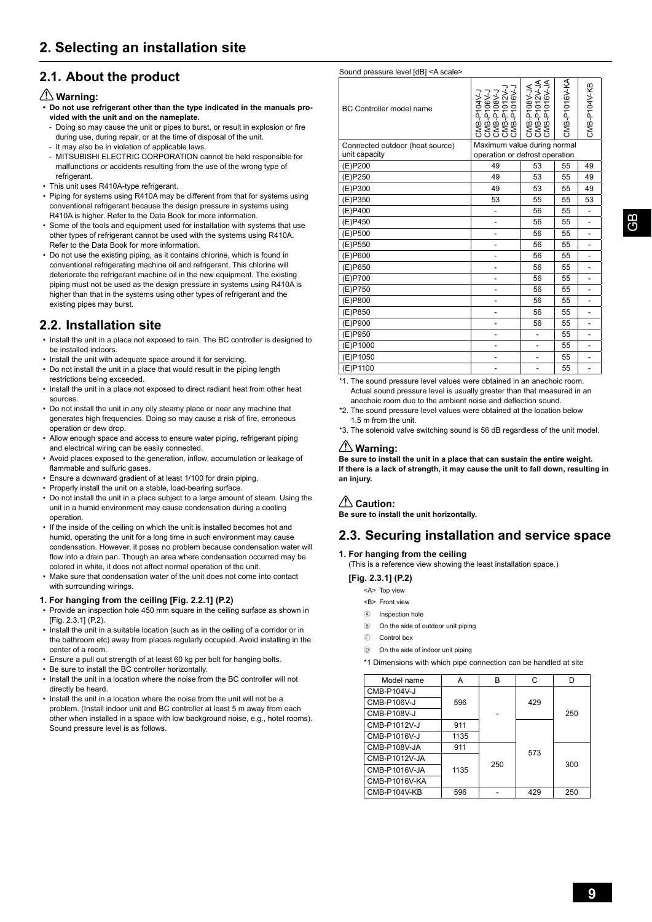## **2.1. About the product**

#### **Warning:**

- **Do not use refrigerant other than the type indicated in the manuals provided with the unit and on the nameplate.**
- Doing so may cause the unit or pipes to burst, or result in explosion or fire during use, during repair, or at the time of disposal of the unit.
- It may also be in violation of applicable laws.
- MITSUBISHI ELECTRIC CORPORATION cannot be held responsible for malfunctions or accidents resulting from the use of the wrong type of refrigerant.
- This unit uses R410A-type refrigerant.
- Piping for systems using R410A may be different from that for systems using conventional refrigerant because the design pressure in systems using R410A is higher. Refer to the Data Book for more information.
- Some of the tools and equipment used for installation with systems that use other types of refrigerant cannot be used with the systems using R410A. Refer to the Data Book for more information.
- Do not use the existing piping, as it contains chlorine, which is found in conventional refrigerating machine oil and refrigerant. This chlorine will deteriorate the refrigerant machine oil in the new equipment. The existing piping must not be used as the design pressure in systems using R410A is higher than that in the systems using other types of refrigerant and the existing pipes may burst.

### **2.2. Installation site**

- Install the unit in a place not exposed to rain. The BC controller is designed to be installed indoors.
- Install the unit with adequate space around it for servicing.
- Do not install the unit in a place that would result in the piping length restrictions being exceeded.
- Install the unit in a place not exposed to direct radiant heat from other heat sources.
- Do not install the unit in any oily steamy place or near any machine that generates high frequencies. Doing so may cause a risk of fire, erroneous operation or dew drop.
- Allow enough space and access to ensure water piping, refrigerant piping and electrical wiring can be easily connected.
- . Avoid places exposed to the generation, inflow, accumulation or leakage of flammable and sulfuric gases.
- Ensure a downward gradient of at least 1/100 for drain piping.
- Properly install the unit on a stable, load-bearing surface.
- Do not install the unit in a place subject to a large amount of steam. Using the unit in a humid environment may cause condensation during a cooling operation.
- If the inside of the ceiling on which the unit is installed becomes hot and humid, operating the unit for a long time in such environment may cause condensation. However, it poses no problem because condensation water will flow into a drain pan. Though an area where condensation occurred may be colored in white, it does not affect normal operation of the unit.
- Make sure that condensation water of the unit does not come into contact with surrounding wirings.

#### **1. For hanging from the ceiling [Fig. 2.2.1] (P.2)**

- Provide an inspection hole 450 mm square in the ceiling surface as shown in [Fig. 2.3.1] (P.2).
- Install the unit in a suitable location (such as in the ceiling of a corridor or in the bathroom etc) away from places regularly occupied. Avoid installing in the center of a room.
- Ensure a pull out strength of at least 60 kg per bolt for hanging bolts.
- Be sure to install the BC controller horizontally
- Install the unit in a location where the noise from the BC controller will not directly be heard.
- . Install the unit in a location where the noise from the unit will not be a problem. (Install indoor unit and BC controller at least 5 m away from each other when installed in a space with low background noise, e.g., hotel rooms). Sound pressure level is as follows.

| Sound pressure level [dB] <a scale=""></a> |                                                                           |                                                |               |                              |
|--------------------------------------------|---------------------------------------------------------------------------|------------------------------------------------|---------------|------------------------------|
| <b>BC Controller model name</b>            | CMB-P104V-J<br>CMB-P106V-J<br>CMB-P108V-J<br>CMB-P1012V-J<br>CMB-P1016V-J | CMB-P108V-JA<br>CMB-P1012V-JA<br>CMB-P1016V-JA | CMB-P1016V-KA | CMB-P104V-KB                 |
| Connected outdoor (heat source)            | Maximum value during normal                                               |                                                |               |                              |
| unit capacity                              | operation or defrost operation                                            |                                                |               |                              |
| (E)P200                                    | 49                                                                        | 53                                             | 55            | 49                           |
| (E)P250                                    | 49                                                                        | 53                                             | 55            | 49                           |
| (E)P300                                    | 49                                                                        | 53                                             | 55            | 49                           |
| (E)P350                                    | 53                                                                        | 55                                             | 55            | 53                           |
| (E)P400                                    | L,                                                                        | 56                                             | 55            | $\overline{a}$               |
| (E)P450                                    | $\overline{a}$                                                            | 56                                             | 55            |                              |
| (E)P500                                    | ä,                                                                        | 56                                             | 55            |                              |
| (E)P550                                    | L,                                                                        | 56                                             | 55            | $\overline{\phantom{a}}$     |
| (E)P600                                    | ä,                                                                        | 56                                             | 55            | $\overline{a}$               |
| (E)P650                                    | $\overline{a}$                                                            | 56                                             | 55            |                              |
| (E)P700                                    | $\overline{a}$                                                            | 56                                             | 55            | ۰                            |
| (E)P750                                    | L,                                                                        | 56                                             | 55            | ٠                            |
| (E)P800                                    | $\overline{a}$                                                            | 56                                             | 55            | $\qquad \qquad \blacksquare$ |
| (E)P850                                    | $\overline{a}$                                                            | 56                                             | 55            |                              |
| (E)P900                                    | ä,                                                                        | 56                                             | 55            | ۰                            |
| (E)P950                                    | L,                                                                        | ٠                                              | 55            | $\qquad \qquad \blacksquare$ |
| (E)P1000                                   | $\overline{a}$                                                            | $\overline{a}$                                 | 55            | $\qquad \qquad \blacksquare$ |
| (E)P1050                                   | $\overline{a}$                                                            | L,                                             | 55            |                              |
| (E)P1100                                   | $\overline{\phantom{0}}$                                                  | ä,                                             | 55            | ۰                            |

- \*1. The sound pressure level values were obtained in an anechoic room. Actual sound pressure level is usually greater than that measured in an anechoic room due to the ambient noise and deflection sound
- \*2. The sound pressure level values were obtained at the location below 1.5 m from the unit.
- \*3. The solenoid valve switching sound is 56 dB regardless of the unit model.

### **Warning:**

**Be sure to install the unit in a place that can sustain the entire weight. If there is a lack of strength, it may cause the unit to fall down, resulting in an injury.**

### **Caution:**

Be sure to install the unit horizontally.

### **2.3. Securing installation and service space**

#### **1. For hanging from the ceiling**

(This is a reference view showing the least installation space.)

#### **[Fig. 2.3.1] (P.2)**

- <A> Top view
- <B> Front view
- Ⓐ Inspection hole
- Ⓑ On the side of outdoor unit piping
- Ⓒ Control box
- Ⓓ On the side of indoor unit piping
- \*1 Dimensions with which pipe connection can be handled at site

| Model name    | А    | В   | C   | D   |
|---------------|------|-----|-----|-----|
| CMB-P104V-J   |      |     |     |     |
| CMB-P106V-J   | 596  |     | 429 |     |
| CMB-P108V-J   |      |     |     | 250 |
| CMB-P1012V-J  | 911  |     |     |     |
| CMB-P1016V-J  | 1135 |     |     |     |
| CMB-P108V-JA  | 911  |     | 573 |     |
| CMB-P1012V-JA |      | 250 |     | 300 |
| CMB-P1016V-JA | 1135 |     |     |     |
| CMB-P1016V-KA |      |     |     |     |
| CMB-P104V-KB  | 596  |     | 429 | 250 |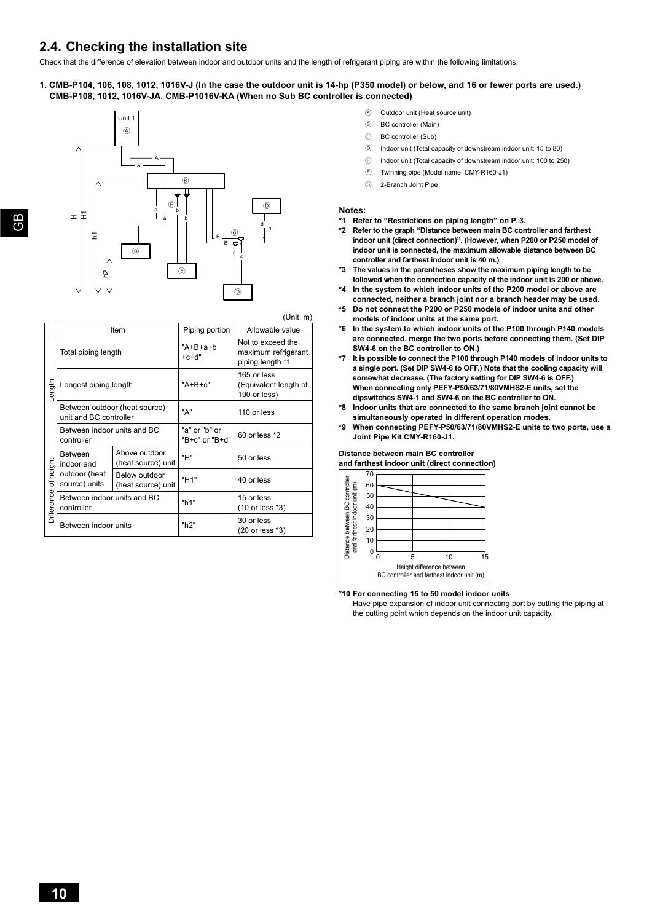### **2.4. Checking the installation site**

Check that the difference of elevation between indoor and outdoor units and the length of refrigerant piping are within the following limitations.

**1. CMB-P104, 106, 108, 1012, 1016V-J (In the case the outdoor unit is 14-hp (P350 model) or below, and 16 or fewer ports are used.) CMB-P108, 1012, 1016V-JA, CMB-P1016V-KA (When no Sub BC controller is connected)**



|            | (Unit: m)                                 |                                     |                                 |                                                              |  |  |
|------------|-------------------------------------------|-------------------------------------|---------------------------------|--------------------------------------------------------------|--|--|
|            |                                           | Item                                | Piping portion                  | Allowable value                                              |  |  |
|            | Total piping length                       |                                     | "A+B+a+b<br>$+c+d"$             | Not to exceed the<br>maximum refrigerant<br>piping length *1 |  |  |
| Length     | Longest piping length                     |                                     | "A+B+c"                         | 165 or less<br>(Equivalent length of<br>190 or less)         |  |  |
|            | unit and BC controller                    | Between outdoor (heat source)       | "A"                             | 110 or less                                                  |  |  |
|            | Between indoor units and BC<br>controller |                                     | "a" or "b" or<br>"B+c" or "B+d" | 60 or less *2                                                |  |  |
| height     | <b>Between</b><br>indoor and              | Above outdoor<br>(heat source) unit | "H"                             | 50 or less                                                   |  |  |
| ৳          | outdoor (heat<br>source) units            | Below outdoor<br>(heat source) unit | "H1"                            | 40 or less                                                   |  |  |
| Difference | Between indoor units and BC<br>controller |                                     | "h1"                            | 15 or less<br>(10 or less *3)                                |  |  |
|            | Between indoor units                      |                                     | "h2"                            | 30 or less<br>(20 or less *3)                                |  |  |

- Ⓐ Outdoor unit (Heat source unit)
- Ⓑ BC controller (Main)
- Ⓒ BC controller (Sub)
- Ⓓ Indoor unit (Total capacity of downstream indoor unit: 15 to 80)
- Ⓔ Indoor unit (Total capacity of downstream indoor unit: 100 to 250)
- Ⓕ Twinning pipe (Model name: CMY-R160-J1)
- Ⓖ 2-Branch Joint Pipe

#### **Notes:**

- **\*1 Refer to "Restrictions on piping length" on P. 3.**
- **\*2 Refer to the graph "Distance between main BC controller and farthest indoor unit (direct connection)". (However, when P200 or P250 model of indoor unit is connected, the maximum allowable distance between BC controller and farthest indoor unit is 40 m.)**
- **\*3 The values in the parentheses show the maximum piping length to be followed when the connection capacity of the indoor unit is 200 or above.**
- **\*4 In the system to which indoor units of the P200 model or above are connected, neither a branch joint nor a branch header may be used.**
- **\*5 Do not connect the P200 or P250 models of indoor units and other models of indoor units at the same port.**
- **\*6 In the system to which indoor units of the P100 through P140 models are connected, merge the two ports before connecting them. (Set DIP SW4-6 on the BC controller to ON.)**
- **\*7 It is possible to connect the P100 through P140 models of indoor units to a single port. (Set DIP SW4-6 to OFF.) Note that the cooling capacity will somewhat decrease. (The factory setting for DIP SW4-6 is OFF.)**  When connecting only PEFY-P50/63/71/80VMHS2-E units, set the **dipswitches SW4-1 and SW4-6 on the BC controller to ON.**
- **\*8 Indoor units that are connected to the same branch joint cannot be simultaneously operated in different operation modes.**
- \*9 When connecting PEFY-P50/63/71/80VMHS2-E units to two ports, use a Joint Pipe Kit CMY-R160-J1.

#### **Distance between main BC controller**

**and farthest indoor unit (direct connection)**

|                                                                | 70 |                                            |                           |    |    |
|----------------------------------------------------------------|----|--------------------------------------------|---------------------------|----|----|
|                                                                | 60 |                                            |                           |    |    |
|                                                                | 50 |                                            |                           |    |    |
|                                                                | 40 |                                            |                           |    |    |
| Distance between BC controller<br>and farthest indoor unit (m) | 30 |                                            |                           |    |    |
|                                                                | 20 |                                            |                           |    |    |
|                                                                | 10 |                                            |                           |    |    |
|                                                                |    |                                            |                           |    |    |
|                                                                | 0  |                                            | 5                         | 10 | 15 |
|                                                                |    | BC controller and farthest indoor unit (m) | Height difference between |    |    |

**\*10 For connecting 15 to 50 model indoor units**

Have pipe expansion of indoor unit connecting port by cutting the piping at the cutting point which depends on the indoor unit capacity.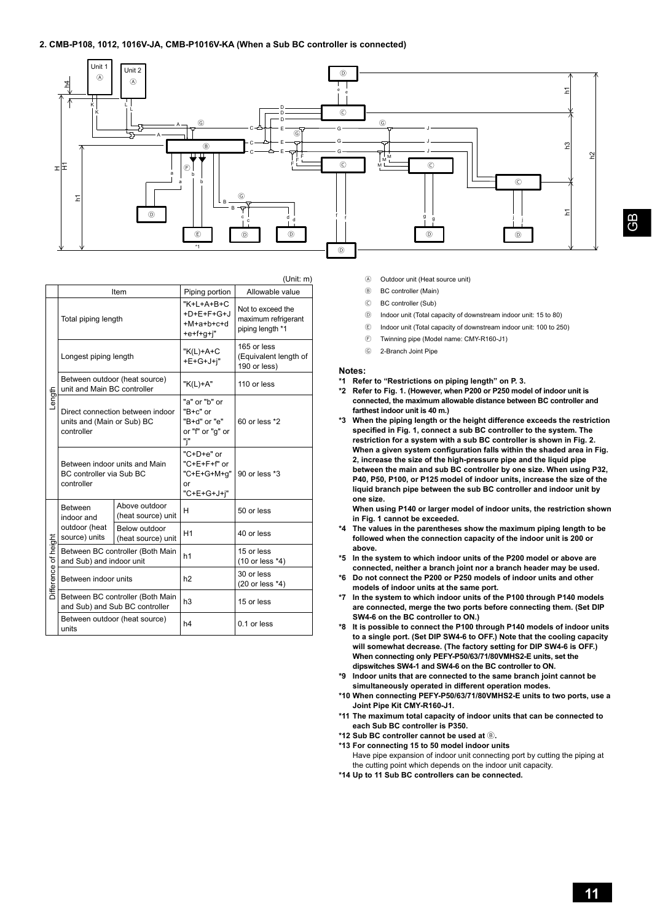#### **2. CMB-P108, 1012, 1016V-JA, CMB-P1016V-KA (When a Sub BC controller is connected)**



|                      | , וווייש,                                |                                                                    |                                                                            |                                                              |  |  |  |
|----------------------|------------------------------------------|--------------------------------------------------------------------|----------------------------------------------------------------------------|--------------------------------------------------------------|--|--|--|
|                      |                                          | Item                                                               | Piping portion                                                             | Allowable value                                              |  |  |  |
|                      | Total piping length                      |                                                                    | "K+L+A+B+C<br>$+D+E+F+G+J$<br>$+M+a+b+c+d$<br>$+e+f+q+i"$                  | Not to exceed the<br>maximum refrigerant<br>piping length *1 |  |  |  |
|                      | Longest piping length                    |                                                                    | "K(L)+A+C<br>$+E+G+J+i"$                                                   | 165 or less<br>(Equivalent length of<br>190 or less)         |  |  |  |
|                      | unit and Main BC controller              | Between outdoor (heat source)                                      | "K(L)+A"                                                                   | 110 or less                                                  |  |  |  |
| Length               | units and (Main or Sub) BC<br>controller | Direct connection between indoor                                   | "a" or "b" or<br>" $B + c$ " or<br>"B+d" or "e"<br>or "f" or "q" or<br>"i" | 60 or less *2                                                |  |  |  |
|                      | BC controller via Sub BC<br>controller   | Between indoor units and Main                                      | "C+D+e" or<br>"C+E+F+f" or<br>"C+E+G+M+q"<br>or<br>"C+E+G+J+j"             | 90 or less *3                                                |  |  |  |
|                      | <b>Between</b><br>indoor and             | Above outdoor<br>(heat source) unit                                | Н                                                                          | 50 or less                                                   |  |  |  |
|                      | outdoor (heat<br>source) units           | Below outdoor<br>(heat source) unit                                |                                                                            | 40 or less                                                   |  |  |  |
| Difference of height | and Sub) and indoor unit                 | Between BC controller (Both Main                                   | h1                                                                         | 15 or less<br>(10 or less *4)                                |  |  |  |
|                      | Between indoor units                     |                                                                    | h2                                                                         | 30 or less<br>(20 or less *4)                                |  |  |  |
|                      |                                          | Between BC controller (Both Main<br>and Sub) and Sub BC controller | h3                                                                         | 15 or less                                                   |  |  |  |
|                      | units                                    | Between outdoor (heat source)                                      | h4                                                                         | 0.1 or less                                                  |  |  |  |

- $(1 \text{Init: m})$
- Ⓐ Outdoor unit (Heat source unit)
- Ⓑ BC controller (Main)
- Ⓒ BC controller (Sub)
- Ⓓ Indoor unit (Total capacity of downstream indoor unit: 15 to 80)
- Ⓔ Indoor unit (Total capacity of downstream indoor unit: 100 to 250)
- Ⓕ Twinning pipe (Model name: CMY-R160-J1)
- Ⓖ 2-Branch Joint Pipe

#### **Notes:**

- **\*1 Refer to "Restrictions on piping length" on P. 3.**
- **\*2 Refer to Fig. 1. (However, when P200 or P250 model of indoor unit is connected, the maximum allowable distance between BC controller and farthest indoor unit is 40 m.)**
- **\*3 When the piping length or the height difference exceeds the restriction**  specified in Fig. 1, connect a sub BC controller to the system. The **restriction for a system with a sub BC controller is shown in Fig. 2.**  When a given system configuration falls within the shaded area in Fig. 2, increase the size of the high-pressure pipe and the liquid pipe between the main and sub BC controller by one size. When using P32, P40, P50, P100, or P125 model of indoor units, increase the size of the **liquid branch pipe between the sub BC controller and indoor unit by**  one size.

**When using P140 or larger model of indoor units, the restriction shown in Fig. 1 cannot be exceeded.**

- **\*4 The values in the parentheses show the maximum piping length to be followed when the connection capacity of the indoor unit is 200 or above.**
- **\*5 In the system to which indoor units of the P200 model or above are connected, neither a branch joint nor a branch header may be used.**
- **\*6 Do not connect the P200 or P250 models of indoor units and other models of indoor units at the same port.**
- **\*7 In the system to which indoor units of the P100 through P140 models are connected, merge the two ports before connecting them. (Set DIP SW4-6 on the BC controller to ON.)**
- **\*8 It is possible to connect the P100 through P140 models of indoor units to a single port. (Set DIP SW4-6 to OFF.) Note that the cooling capacity will somewhat decrease. (The factory setting for DIP SW4-6 is OFF.)**  When connecting only PEFY-P50/63/71/80VMHS2-E units, set the **dipswitches SW4-1 and SW4-6 on the BC controller to ON.**
- **\*9 Indoor units that are connected to the same branch joint cannot be simultaneously operated in different operation modes.**
- \*10 When connecting PEFY-P50/63/71/80VMHS2-E units to two ports, use a Joint Pipe Kit CMY-R160-J1.
- **\*11 The maximum total capacity of indoor units that can be connected to each Sub BC controller is P350.**
- **\*12 Sub BC controller cannot be used at** Ⓑ**.**
- **\*13 For connecting 15 to 50 model indoor units** Have pipe expansion of indoor unit connecting port by cutting the piping at the cutting point which depends on the indoor unit capacity.
- **\*14 Up to 11 Sub BC controllers can be connected.**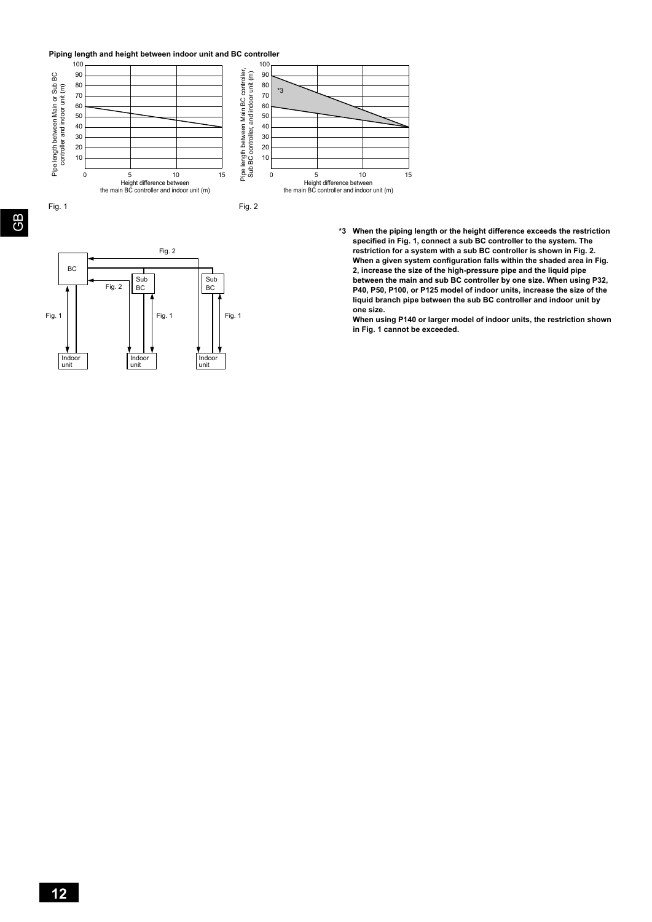**Piping length and height between indoor unit and BC controller**





**\*3 When the piping length or the height difference exceeds the restriction**  specified in Fig. 1, connect a sub BC controller to the system. The **restriction for a system with a sub BC controller is shown in Fig. 2.**  When a given system configuration falls within the shaded area in Fig. 2, increase the size of the high-pressure pipe and the liquid pipe between the main and sub BC controller by one size. When using P32, P40, P50, P100, or P125 model of indoor units, increase the size of the **liquid branch pipe between the sub BC controller and indoor unit by**  one size.

**When using P140 or larger model of indoor units, the restriction shown in Fig. 1 cannot be exceeded.**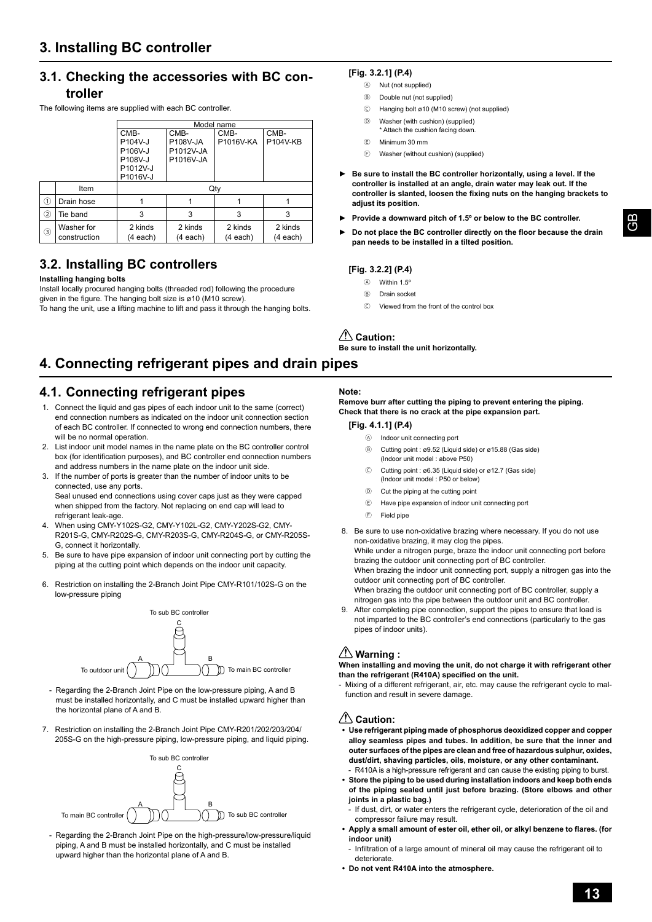### **3.1. Checking the accessories with BC controller**

The following items are supplied with each BC controller.

|               |              | Model name |           |               |                 |  |  |  |
|---------------|--------------|------------|-----------|---------------|-----------------|--|--|--|
|               |              | CMB-       | CMB-      | CMB-          | CMB-            |  |  |  |
|               |              | P104V-J    | P108V-JA  | P1016V-KA     | <b>P104V-KB</b> |  |  |  |
|               |              | P106V-J    | P1012V-JA |               |                 |  |  |  |
|               |              | P108V-J    | P1016V-JA |               |                 |  |  |  |
|               |              | P1012V-J   |           |               |                 |  |  |  |
|               |              | P1016V-J   |           |               |                 |  |  |  |
|               | Item         |            |           | Qty           |                 |  |  |  |
| ⋒             | Drain hose   |            |           |               |                 |  |  |  |
| $\circled{2}$ | Tie band     | 3          | 3         | 3             | 3               |  |  |  |
| ③             | Washer for   | 2 kinds    | 2 kinds   | 2 kinds       | 2 kinds         |  |  |  |
|               | construction | (4 each)   | (4 each)  | $(4$ each $)$ | (4 each)        |  |  |  |

## **3.2. Installing BC controllers**

#### **Installing hanging bolts**

Install locally procured hanging bolts (threaded rod) following the procedure given in the figure. The hanging bolt size is  $\varnothing$ 10 (M10 screw). To hang the unit, use a lifting machine to lift and pass it through the hanging bolts. **[Fig. 3.2.1] (P.4)**

- Ⓐ Nut (not supplied)
- Ⓑ Double nut (not supplied)
- Ⓒ Hanging bolt ø10 (M10 screw) (not supplied)
- Ⓓ Washer (with cushion) (supplied) \* Attach the cushion facing down.
- Ⓔ Minimum 30 mm
- Ⓕ Washer (without cushion) (supplied)
- ▶ Be sure to install the BC controller horizontally, using a level. If the **controller is installed at an angle, drain water may leak out. If the**  controller is slanted, loosen the fixing nuts on the hanging brackets to **adjust its position.**
- Provide a downward pitch of 1.5° or below to the BC controller.
- Do not place the BC controller directly on the floor because the drain **pan needs to be installed in a tilted position.**

#### **[Fig. 3.2.2] (P.4)**

- $(A)$  Within 1.5<sup>o</sup>
- Ⓑ Drain socket

 **Caution:**

Ⓒ Viewed from the front of the control box

Be sure to install the unit horizontally. **4. Connecting refrigerant pipes and drain pipes**

### **4.1. Connecting refrigerant pipes**

- 1. Connect the liquid and gas pipes of each indoor unit to the same (correct) end connection numbers as indicated on the indoor unit connection section of each BC controller. If connected to wrong end connection numbers, there will be no normal operation.
- 2. List indoor unit model names in the name plate on the BC controller control box (for identification purposes), and BC controller end connection numbers and address numbers in the name plate on the indoor unit side.
- 3. If the number of ports is greater than the number of indoor units to be connected, use any ports.

Seal unused end connections using cover caps just as they were capped when shipped from the factory. Not replacing on end cap will lead to refrigerant leak-age.

- 4. When using CMY-Y102S-G2, CMY-Y102L-G2, CMY-Y202S-G2, CMY-R201S-G, CMY-R202S-G, CMY-R203S-G, CMY-R204S-G, or CMY-R205S-G, connect it horizontally.
- 5. Be sure to have pipe expansion of indoor unit connecting port by cutting the piping at the cutting point which depends on the indoor unit capacity.
- 6. Restriction on installing the 2-Branch Joint Pipe CMY-R101/102S-G on the low-pressure piping



 - Regarding the 2-Branch Joint Pipe on the low-pressure piping, A and B must be installed horizontally, and C must be installed upward higher than the horizontal plane of A and B.

7. Restriction on installing the 2-Branch Joint Pipe CMY-R201/202/203/204/ 205S-G on the high-pressure piping, low-pressure piping, and liquid piping.



 - Regarding the 2-Branch Joint Pipe on the high-pressure/low-pressure/liquid piping, A and B must be installed horizontally, and C must be installed upward higher than the horizontal plane of A and B.

#### **Note:**

**Remove burr after cutting the piping to prevent entering the piping. Check that there is no crack at the pipe expansion part.**

#### **[Fig. 4.1.1] (P.4)**

- Ⓐ Indoor unit connecting port
- Ⓑ Cutting point : ø9.52 (Liquid side) or ø15.88 (Gas side) (Indoor unit model : above P50)
- Ⓒ Cutting point : ø6.35 (Liquid side) or ø12.7 (Gas side) (Indoor unit model : P50 or below)
- Ⓓ Cut the piping at the cutting point
- Ⓔ Have pipe expansion of indoor unit connecting port
- Ⓕ Field pipe
- 8. Be sure to use non-oxidative brazing where necessary. If you do not use non-oxidative brazing, it may clog the pipes. While under a nitrogen purge, braze the indoor unit connecting port before brazing the outdoor unit connecting port of BC controller. When brazing the indoor unit connecting port, supply a nitrogen gas into the outdoor unit connecting port of BC controller. When brazing the outdoor unit connecting port of BC controller, supply a nitrogen gas into the pipe between the outdoor unit and BC controller. After completing pipe connection, support the pipes to ensure that load is not imparted to the BC controller's end connections (particularly to the gas

### **Warning :**

pipes of indoor units).

**When installing and moving the unit, do not charge it with refrigerant other**  than the refrigerant (R410A) specified on the unit.

 - Mixing of a different refrigerant, air, etc. may cause the refrigerant cycle to malfunction and result in severe damage.

### **Caution:**

- **Use refrigerant piping made of phosphorus deoxidized copper and copper alloy seamless pipes and tubes. In addition, be sure that the inner and**  outer surfaces of the pipes are clean and free of hazardous sulphur, oxides, **dust/dirt, shaving particles, oils, moisture, or any other contaminant.** R410A is a high-pressure refrigerant and can cause the existing piping to burst.
- **Store the piping to be used during installation indoors and keep both ends**  of the piping sealed until just before brazing. (Store elbows and other **joints in a plastic bag.)**
	- If dust, dirt, or water enters the refrigerant cycle, deterioration of the oil and compressor failure may result.
- **· Apply a small amount of ester oil, ether oil, or alkyl benzene to flares. (for indoor unit)**
- Infiltration of a large amount of mineral oil may cause the refrigerant oil to deteriorate.
- **Do not vent R410A into the atmosphere.**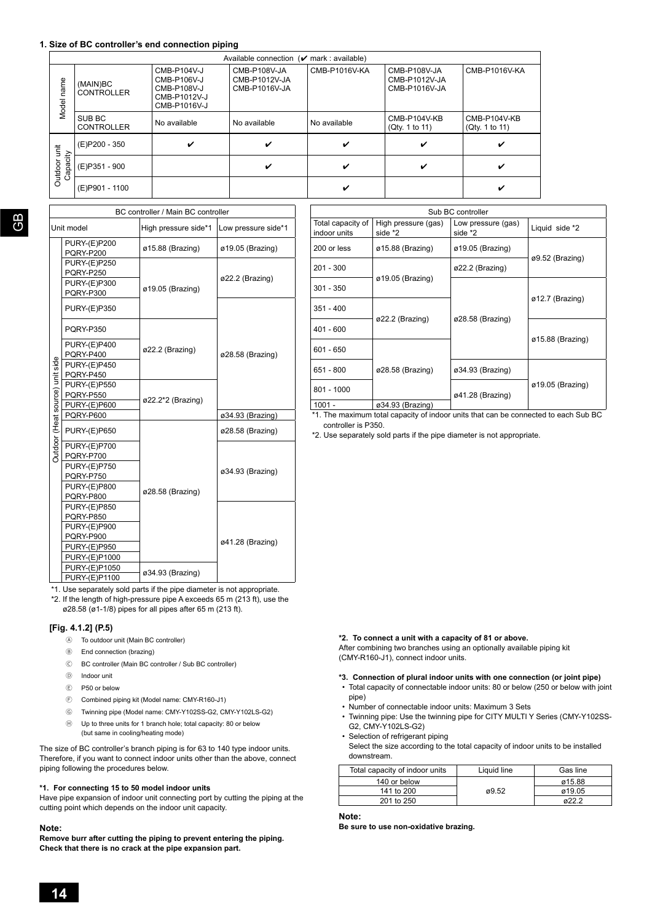#### 1. Size of BC controller's end connection piping

|                     | Available connection ( $\nu$ mark : available) |                                                                           |                                                |               |                                                |                                |
|---------------------|------------------------------------------------|---------------------------------------------------------------------------|------------------------------------------------|---------------|------------------------------------------------|--------------------------------|
| name<br>Model       | (MAIN)BC<br><b>CONTROLLER</b>                  | CMB-P104V-J<br>CMB-P106V-J<br>CMB-P108V-J<br>CMB-P1012V-J<br>CMB-P1016V-J | CMB-P108V-JA<br>CMB-P1012V-JA<br>CMB-P1016V-JA | CMB-P1016V-KA | CMB-P108V-JA<br>CMB-P1012V-JA<br>CMB-P1016V-JA | CMB-P1016V-KA                  |
|                     | SUB BC<br><b>CONTROLLER</b>                    | No available                                                              | No available                                   | No available  | CMB-P104V-KB<br>(Qty. 1 to 11)                 | CMB-P104V-KB<br>(Qty. 1 to 11) |
| İ                   | (E)P200 - 350                                  | ✔                                                                         | ✔                                              | ✓             |                                                | ୰                              |
| Capacity<br>Outdoor | (E)P351 - 900                                  |                                                                           | ✓                                              | ✔             |                                                | ✔                              |
|                     | (E)P901 - 1100                                 |                                                                           |                                                |               |                                                | ັ                              |

|                                 |                                         | BC controller / Main BC controller |                     |                                                                                              |                                | Sub BC controller           |  |  |
|---------------------------------|-----------------------------------------|------------------------------------|---------------------|----------------------------------------------------------------------------------------------|--------------------------------|-----------------------------|--|--|
|                                 | Unit model                              | High pressure side*1               | Low pressure side*1 | Total capacity of<br>indoor units                                                            | High pressure (gas)<br>side *2 | Low pressure (qa<br>side *2 |  |  |
|                                 | <b>PURY-(E)P200</b><br><b>PQRY-P200</b> | ø15.88 (Brazing)                   | ø19.05 (Brazing)    | 200 or less                                                                                  | ø15.88 (Brazing)               | ø19.05 (Brazing)            |  |  |
|                                 | <b>PURY-(E)P250</b><br><b>PQRY-P250</b> |                                    |                     | $201 - 300$                                                                                  |                                | ø22.2 (Brazing)             |  |  |
|                                 | <b>PURY-(E)P300</b><br><b>PQRY-P300</b> | ø19.05 (Brazing)                   | ø22.2 (Brazing)     | $301 - 350$                                                                                  | ø19.05 (Brazing)               |                             |  |  |
|                                 | <b>PURY-(E)P350</b>                     |                                    |                     | 351 - 400                                                                                    |                                |                             |  |  |
|                                 | <b>PQRY-P350</b>                        |                                    |                     | $401 - 600$                                                                                  | ø22.2 (Brazing)                | ø28.58 (Brazing)            |  |  |
|                                 | <b>PURY-(E)P400</b><br><b>PQRY-P400</b> | ø22.2 (Brazing)                    | ø28.58 (Brazing)    | $601 - 650$                                                                                  |                                |                             |  |  |
|                                 | <b>PURY-(E)P450</b><br><b>PQRY-P450</b> |                                    |                     | 651 - 800                                                                                    | ø28.58 (Brazing)               | ø34.93 (Brazing)            |  |  |
|                                 | <b>PURY-(E)P550</b><br><b>PQRY-P550</b> |                                    |                     | 801 - 1000                                                                                   |                                | ø41.28 (Brazing)            |  |  |
|                                 | <b>PURY-(E)P600</b>                     | ø22.2*2 (Brazing)                  |                     | $1001 -$                                                                                     | ø34.93 (Brazing)               |                             |  |  |
|                                 | <b>PQRY-P600</b>                        |                                    | ø34.93 (Brazing)    | *1. The maximum total capacity of indoor units that can be                                   |                                |                             |  |  |
| Outdoor (Heat source) unit side | <b>PURY-(E)P650</b>                     |                                    | ø28.58 (Brazing)    | controller is P350.<br>*2. Use separately sold parts if the pipe diameter is not approposed. |                                |                             |  |  |
|                                 | <b>PURY-(E)P700</b><br><b>PQRY-P700</b> |                                    |                     |                                                                                              |                                |                             |  |  |
|                                 | <b>PURY-(E)P750</b><br><b>PQRY-P750</b> |                                    | ø34.93 (Brazing)    |                                                                                              |                                |                             |  |  |
|                                 | <b>PURY-(E)P800</b>                     | ø28.58 (Brazing)                   |                     |                                                                                              |                                |                             |  |  |
|                                 | <b>PQRY-P800</b>                        |                                    |                     |                                                                                              |                                |                             |  |  |
|                                 | <b>PURY-(E)P850</b>                     |                                    |                     |                                                                                              |                                |                             |  |  |
|                                 | <b>PQRY-P850</b>                        |                                    |                     |                                                                                              |                                |                             |  |  |
|                                 | <b>PURY-(E)P900</b>                     |                                    |                     |                                                                                              |                                |                             |  |  |
|                                 | <b>PQRY-P900</b>                        |                                    | ø41.28 (Brazing)    |                                                                                              |                                |                             |  |  |
|                                 | <b>PURY-(E)P950</b>                     |                                    |                     |                                                                                              |                                |                             |  |  |
|                                 | PURY-(E)P1000                           |                                    |                     |                                                                                              |                                |                             |  |  |
|                                 | PURY-(E)P1050                           | ø34.93 (Brazing)                   |                     |                                                                                              |                                |                             |  |  |
|                                 | PURY-(E)P1100                           |                                    |                     |                                                                                              |                                |                             |  |  |

|                                  | BC controller / Main BC controller |                               |                                   | Sub BC controller              |                               |                               |  |
|----------------------------------|------------------------------------|-------------------------------|-----------------------------------|--------------------------------|-------------------------------|-------------------------------|--|
| model                            | High pressure side*1               | Low pressure side*1           | Total capacity of<br>indoor units | High pressure (gas)<br>side *2 | Low pressure (gas)<br>side *2 | Liquid side *2                |  |
| <b>PURY-(E)P200</b><br>PQRY-P200 | ø15.88 (Brazing)                   | $\varnothing$ 19.05 (Brazing) | 200 or less                       | $\varnothing$ 15.88 (Brazing)  | $\varnothing$ 19.05 (Brazing) |                               |  |
| <b>PURY-(E)P250</b><br>PQRY-P250 |                                    |                               | $201 - 300$                       |                                | ø22.2 (Brazing)               | ø9.52 (Brazing)               |  |
| <b>PURY-(E)P300</b><br>PQRY-P300 | $\varnothing$ 19.05 (Brazing)      | ø22.2 (Brazing)               | $301 - 350$                       | $\varnothing$ 19.05 (Brazing)  |                               |                               |  |
| PURY-(E)P350                     |                                    |                               | $351 - 400$                       |                                |                               | ø12.7 (Brazing)               |  |
| <b>PQRY-P350</b>                 |                                    |                               | $401 - 600$                       | $\varnothing$ 22.2 (Brazing)   | $\varnothing$ 28.58 (Brazing) |                               |  |
| PURY-(E)P400<br>PQRY-P400        | ø22.2 (Brazing)                    | ø28.58 (Brazing)              | $601 - 650$                       |                                |                               | $\varnothing$ 15.88 (Brazing) |  |
| PURY-(E)P450<br>PQRY-P450        |                                    | 651 - 800                     | $\varnothing$ 28.58 (Brazing)     | $\varnothing$ 34.93 (Brazing)  |                               |                               |  |
| PURY-(E)P550<br>PQRY-P550        |                                    |                               | $801 - 1000$                      |                                | ø41.28 (Brazing)              | $\varnothing$ 19.05 (Brazing) |  |
| PURY-(E)P600                     | ø22.2*2 (Brazing)                  |                               | $1001 -$                          | $\alpha$ 34.93 (Brazing)       |                               |                               |  |

\*1. The maximum total capacity of indoor units that can be connected to each Sub BC controller is P350.

\*2. Use separately sold parts if the pipe diameter is not appropriate.

\*1. Use separately sold parts if the pipe diameter is not appropriate. \*2. If the length of high-pressure pipe A exceeds 65 m (213 ft), use the

## $\varphi$ 28.58 ( $\varphi$ 1-1/8) pipes for all pipes after 65 m (213 ft).

#### **[Fig. 4.1.2] (P.5)**

- Ⓐ To outdoor unit (Main BC controller)
- Ⓑ End connection (brazing)
- Ⓒ BC controller (Main BC controller / Sub BC controller)
- Ⓓ Indoor unit
- Ⓔ P50 or below
- Ⓕ Combined piping kit (Model name: CMY-R160-J1)
- Ⓖ Twinning pipe (Model name: CMY-Y102SS-G2, CMY-Y102LS-G2)
- Ⓗ Up to three units for 1 branch hole; total capacity: 80 or below
- (but same in cooling/heating mode) The size of BC controller's branch piping is for 63 to 140 type indoor units.

Therefore, if you want to connect indoor units other than the above, connect piping following the procedures below.

#### **\*1. For connecting 15 to 50 model indoor units**

Have pipe expansion of indoor unit connecting port by cutting the piping at the cutting point which depends on the indoor unit capacity.

#### **Note:**

**Remove burr after cutting the piping to prevent entering the piping. Check that there is no crack at the pipe expansion part.**

#### **\*2. To connect a unit with a capacity of 81 or above.**

After combining two branches using an optionally available piping kit (CMY-R160-J1), connect indoor units.

#### **\*3. Connection of plural indoor units with one connection (or joint pipe)**

- Total capacity of connectable indoor units: 80 or below (250 or below with joint pipe)
- Number of connectable indoor units: Maximum 3 Sets
- Twinning pipe: Use the twinning pipe for CITY MULTI Y Series (CMY-Y102SS-G2, CMY-Y102LS-G2)
- Selection of refrigerant piping Select the size according to the total capacity of indoor units to be installed downstream.

| Liquid line | Gas line |
|-------------|----------|
|             | ø15.88   |
| ø9.52       | ø19.05   |
|             | ø22.2    |
|             |          |

#### **Note:**

Be sure to use non-oxidative brazing.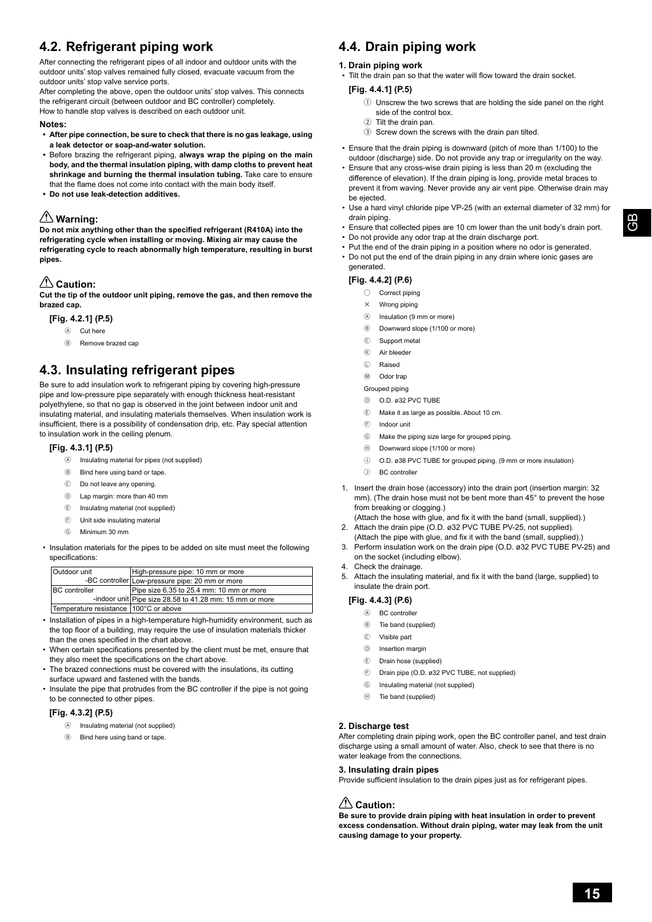## **4.2. Refrigerant piping work**

After connecting the refrigerant pipes of all indoor and outdoor units with the outdoor units' stop valves remained fully closed, evacuate vacuum from the outdoor units' stop valve service ports.

After completing the above, open the outdoor units' stop valves. This connects the refrigerant circuit (between outdoor and BC controller) completely. How to handle stop valves is described on each outdoor unit.

#### **Notes:**

- **After pipe connection, be sure to check that there is no gas leakage, using a leak detector or soap-and-water solution.**
- Before brazing the refrigerant piping, **always wrap the piping on the main body, and the thermal insulation piping, with damp cloths to prevent heat shrinkage and burning the thermal insulation tubing.** Take care to ensure that the flame does not come into contact with the main body itself.
- **Do not use leak-detection additives.**

### **Warning:**

Do not mix anything other than the specified refrigerant (R410A) into the **refrigerating cycle when installing or moving. Mixing air may cause the refrigerating cycle to reach abnormally high temperature, resulting in burst pipes.** 

### **Caution:**

**Cut the tip of the outdoor unit piping, remove the gas, and then remove the brazed** cap.

#### **[Fig. 4.2.1] (P.5)**

- Ⓐ Cut here
- Ⓑ Remove brazed cap

### **4.3. Insulating refrigerant pipes**

Be sure to add insulation work to refrigerant piping by covering high-pressure pipe and low-pressure pipe separately with enough thickness heat-resistant polyethylene, so that no gap is observed in the joint between indoor unit and insulating material, and insulating materials themselves. When insulation work is insufficient, there is a possibility of condensation drip, etc. Pay special attention to insulation work in the ceiling plenum.

#### **[Fig. 4.3.1] (P.5)**

- Ⓐ Insulating material for pipes (not supplied)
- Ⓑ Bind here using band or tape.
- Ⓒ Do not leave any opening.
- Ⓓ Lap margin: more than 40 mm
- Ⓔ Insulating material (not supplied)
- Ⓕ Unit side insulating material
- Ⓖ Minimum 30 mm
- Insulation materials for the pipes to be added on site must meet the following specifications:

| Outdoor unit                            | High-pressure pipe: 10 mm or more                       |  |  |
|-----------------------------------------|---------------------------------------------------------|--|--|
|                                         | -BC controller Low-pressure pipe: 20 mm or more         |  |  |
| <b>BC</b> controller                    | Pipe size 6.35 to 25.4 mm: 10 mm or more                |  |  |
|                                         | -indoor unit Pipe size 28.58 to 41.28 mm: 15 mm or more |  |  |
| Temperature resistance   100°C or above |                                                         |  |  |

- Installation of pipes in a high-temperature high-humidity environment, such as the top floor of a building, may require the use of insulation materials thicker than the ones specified in the chart above.
- When certain specifications presented by the client must be met, ensure that they also meet the specifications on the chart above.
- The brazed connections must be covered with the insulations, its cutting
- surface upward and fastened with the bands. • Insulate the pipe that protrudes from the BC controller if the pipe is not going
- to be connected to other pipes.

#### **[Fig. 4.3.2] (P.5)**

- Ⓐ Insulating material (not supplied)
- Ⓑ Bind here using band or tape.

### **4.4. Drain piping work**

#### **1. Drain piping work**

• Tilt the drain pan so that the water will flow toward the drain socket.

#### **[Fig. 4.4.1] (P.5)**

- ① Unscrew the two screws that are holding the side panel on the right side of the control box.
- ② Tilt the drain pan.
- ③ Screw down the screws with the drain pan tilted.
- Ensure that the drain piping is downward (pitch of more than 1/100) to the outdoor (discharge) side. Do not provide any trap or irregularity on the way.
- Ensure that any cross-wise drain piping is less than 20 m (excluding the difference of elevation). If the drain piping is long, provide metal braces to prevent it from waving. Never provide any air vent pipe. Otherwise drain may be ejected.
- Use a hard vinyl chloride pipe VP-25 (with an external diameter of 32 mm) for drain piping.
- Ensure that collected pipes are 10 cm lower than the unit body's drain port.
- Do not provide any odor trap at the drain discharge port.
- Put the end of the drain piping in a position where no odor is generated. Do not put the end of the drain piping in any drain where ionic gases are
- generated.

#### **[Fig. 4.4.2] (P.6)**

- Correct piping
- $\times$  Wrong piping
- Ⓐ Insulation (9 mm or more)
- Ⓑ Downward slope (1/100 or more)
- Ⓒ Support metal
- Ⓚ Air bleeder
- Ⓛ Raised
- Ⓜ Odor trap

Grouped piping

- Ⓓ O.D. ø32 PVC TUBE
- Ⓔ Make it as large as possible. About 10 cm.
- Ⓕ Indoor unit
- Ⓖ Make the piping size large for grouped piping.
- Ⓗ Downward slope (1/100 or more)
- Ⓘ O.D. ø38 PVC TUBE for grouped piping. (9 mm or more insulation)
- Ⓙ BC controller
- 1. Insert the drain hose (accessory) into the drain port (insertion margin: 32 mm). (The drain hose must not be bent more than 45° to prevent the hose from breaking or clogging.)
- (Attach the hose with glue, and fix it with the band (small, supplied).) 2. Attach the drain pipe (O.D. ø32 PVC TUBE PV-25, not supplied). (Attach the pipe with glue, and fix it with the band (small, supplied).)
- Perform insulation work on the drain pipe (O.D. ø32 PVC TUBE PV-25) and on the socket (including elbow).
- 4. Check the drainage.
- 5. Attach the insulating material, and fix it with the band (large, supplied) to insulate the drain port.

#### **[Fig. 4.4.3] (P.6)**

- Ⓐ BC controller
- Ⓑ Tie band (supplied)
- Ⓒ Visible part
- Ⓓ Insertion margin
- Ⓔ Drain hose (supplied)
- Ⓕ Drain pipe (O.D. ø32 PVC TUBE, not supplied)
- Ⓖ Insulating material (not supplied)
- Ⓗ Tie band (supplied)

#### **2. Discharge test**

After completing drain piping work, open the BC controller panel, and test drain discharge using a small amount of water. Also, check to see that there is no water leakage from the connections.

### **3. Insulating drain pipes**

Provide sufficient insulation to the drain pipes just as for refrigerant pipes.

### **Caution:**

**Be sure to provide drain piping with heat insulation in order to prevent excess condensation. Without drain piping, water may leak from the unit causing damage to your property.**